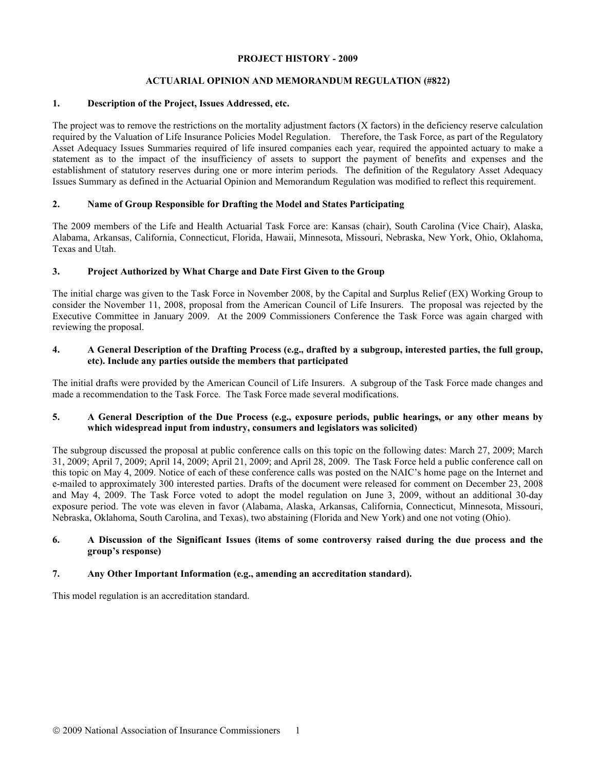### **PROJECT HISTORY - 2009**

# **ACTUARIAL OPINION AND MEMORANDUM REGULATION (#822)**

## **1. Description of the Project, Issues Addressed, etc.**

The project was to remove the restrictions on the mortality adjustment factors (X factors) in the deficiency reserve calculation required by the Valuation of Life Insurance Policies Model Regulation. Therefore, the Task Force, as part of the Regulatory Asset Adequacy Issues Summaries required of life insured companies each year, required the appointed actuary to make a statement as to the impact of the insufficiency of assets to support the payment of benefits and expenses and the establishment of statutory reserves during one or more interim periods. The definition of the Regulatory Asset Adequacy Issues Summary as defined in the Actuarial Opinion and Memorandum Regulation was modified to reflect this requirement.

## **2. Name of Group Responsible for Drafting the Model and States Participating**

The 2009 members of the Life and Health Actuarial Task Force are: Kansas (chair), South Carolina (Vice Chair), Alaska, Alabama, Arkansas, California, Connecticut, Florida, Hawaii, Minnesota, Missouri, Nebraska, New York, Ohio, Oklahoma, Texas and Utah.

## **3. Project Authorized by What Charge and Date First Given to the Group**

The initial charge was given to the Task Force in November 2008, by the Capital and Surplus Relief (EX) Working Group to consider the November 11, 2008, proposal from the American Council of Life Insurers. The proposal was rejected by the Executive Committee in January 2009. At the 2009 Commissioners Conference the Task Force was again charged with reviewing the proposal.

## **4. A General Description of the Drafting Process (e.g., drafted by a subgroup, interested parties, the full group, etc). Include any parties outside the members that participated**

The initial drafts were provided by the American Council of Life Insurers. A subgroup of the Task Force made changes and made a recommendation to the Task Force. The Task Force made several modifications.

## **5. A General Description of the Due Process (e.g., exposure periods, public hearings, or any other means by which widespread input from industry, consumers and legislators was solicited)**

The subgroup discussed the proposal at public conference calls on this topic on the following dates: March 27, 2009; March 31, 2009; April 7, 2009; April 14, 2009; April 21, 2009; and April 28, 2009. The Task Force held a public conference call on this topic on May 4, 2009. Notice of each of these conference calls was posted on the NAIC's home page on the Internet and e-mailed to approximately 300 interested parties. Drafts of the document were released for comment on December 23, 2008 and May 4, 2009. The Task Force voted to adopt the model regulation on June 3, 2009, without an additional 30-day exposure period. The vote was eleven in favor (Alabama, Alaska, Arkansas, California, Connecticut, Minnesota, Missouri, Nebraska, Oklahoma, South Carolina, and Texas), two abstaining (Florida and New York) and one not voting (Ohio).

### **6. A Discussion of the Significant Issues (items of some controversy raised during the due process and the group's response)**

## **7. Any Other Important Information (e.g., amending an accreditation standard).**

This model regulation is an accreditation standard.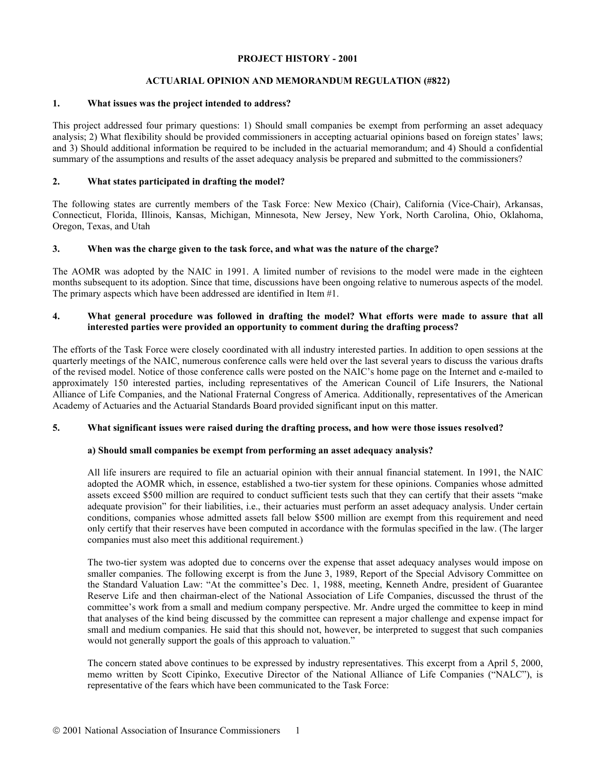#### **PROJECT HISTORY - 2001**

## **ACTUARIAL OPINION AND MEMORANDUM REGULATION (#822)**

### **1. What issues was the project intended to address?**

This project addressed four primary questions: 1) Should small companies be exempt from performing an asset adequacy analysis; 2) What flexibility should be provided commissioners in accepting actuarial opinions based on foreign states' laws; and 3) Should additional information be required to be included in the actuarial memorandum; and 4) Should a confidential summary of the assumptions and results of the asset adequacy analysis be prepared and submitted to the commissioners?

### **2. What states participated in drafting the model?**

The following states are currently members of the Task Force: New Mexico (Chair), California (Vice-Chair), Arkansas, Connecticut, Florida, Illinois, Kansas, Michigan, Minnesota, New Jersey, New York, North Carolina, Ohio, Oklahoma, Oregon, Texas, and Utah

### **3. When was the charge given to the task force, and what was the nature of the charge?**

The AOMR was adopted by the NAIC in 1991. A limited number of revisions to the model were made in the eighteen months subsequent to its adoption. Since that time, discussions have been ongoing relative to numerous aspects of the model. The primary aspects which have been addressed are identified in Item #1.

### **4. What general procedure was followed in drafting the model? What efforts were made to assure that all interested parties were provided an opportunity to comment during the drafting process?**

The efforts of the Task Force were closely coordinated with all industry interested parties. In addition to open sessions at the quarterly meetings of the NAIC, numerous conference calls were held over the last several years to discuss the various drafts of the revised model. Notice of those conference calls were posted on the NAIC's home page on the Internet and e-mailed to approximately 150 interested parties, including representatives of the American Council of Life Insurers, the National Alliance of Life Companies, and the National Fraternal Congress of America. Additionally, representatives of the American Academy of Actuaries and the Actuarial Standards Board provided significant input on this matter.

## **5. What significant issues were raised during the drafting process, and how were those issues resolved?**

#### **a) Should small companies be exempt from performing an asset adequacy analysis?**

All life insurers are required to file an actuarial opinion with their annual financial statement. In 1991, the NAIC adopted the AOMR which, in essence, established a two-tier system for these opinions. Companies whose admitted assets exceed \$500 million are required to conduct sufficient tests such that they can certify that their assets "make adequate provision" for their liabilities, i.e., their actuaries must perform an asset adequacy analysis. Under certain conditions, companies whose admitted assets fall below \$500 million are exempt from this requirement and need only certify that their reserves have been computed in accordance with the formulas specified in the law. (The larger companies must also meet this additional requirement.)

The two-tier system was adopted due to concerns over the expense that asset adequacy analyses would impose on smaller companies. The following excerpt is from the June 3, 1989, Report of the Special Advisory Committee on the Standard Valuation Law: "At the committee's Dec. 1, 1988, meeting, Kenneth Andre, president of Guarantee Reserve Life and then chairman-elect of the National Association of Life Companies, discussed the thrust of the committee's work from a small and medium company perspective. Mr. Andre urged the committee to keep in mind that analyses of the kind being discussed by the committee can represent a major challenge and expense impact for small and medium companies. He said that this should not, however, be interpreted to suggest that such companies would not generally support the goals of this approach to valuation."

The concern stated above continues to be expressed by industry representatives. This excerpt from a April 5, 2000, memo written by Scott Cipinko, Executive Director of the National Alliance of Life Companies ("NALC"), is representative of the fears which have been communicated to the Task Force: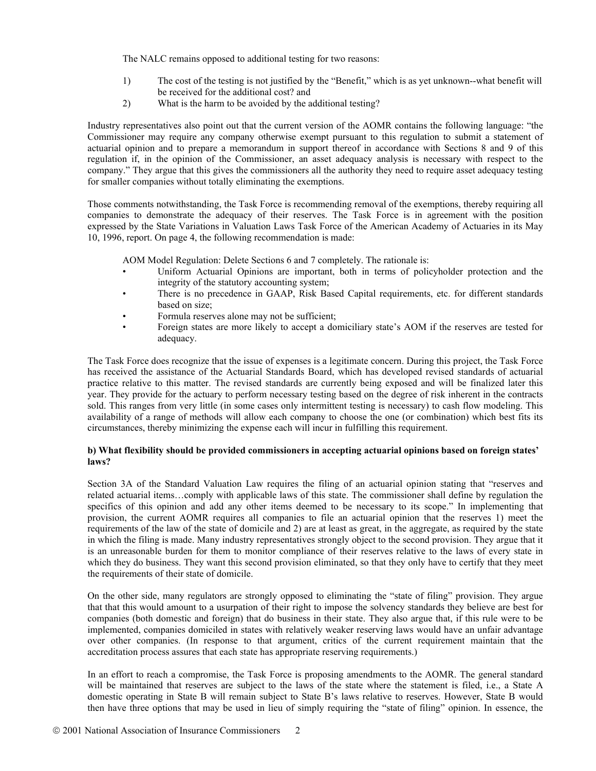The NALC remains opposed to additional testing for two reasons:

- 1) The cost of the testing is not justified by the "Benefit," which is as yet unknown--what benefit will be received for the additional cost? and
- 2) What is the harm to be avoided by the additional testing?

Industry representatives also point out that the current version of the AOMR contains the following language: "the Commissioner may require any company otherwise exempt pursuant to this regulation to submit a statement of actuarial opinion and to prepare a memorandum in support thereof in accordance with Sections 8 and 9 of this regulation if, in the opinion of the Commissioner, an asset adequacy analysis is necessary with respect to the company." They argue that this gives the commissioners all the authority they need to require asset adequacy testing for smaller companies without totally eliminating the exemptions.

Those comments notwithstanding, the Task Force is recommending removal of the exemptions, thereby requiring all companies to demonstrate the adequacy of their reserves. The Task Force is in agreement with the position expressed by the State Variations in Valuation Laws Task Force of the American Academy of Actuaries in its May 10, 1996, report. On page 4, the following recommendation is made:

AOM Model Regulation: Delete Sections 6 and 7 completely. The rationale is:

- Uniform Actuarial Opinions are important, both in terms of policyholder protection and the integrity of the statutory accounting system;
- There is no precedence in GAAP, Risk Based Capital requirements, etc. for different standards based on size;
- Formula reserves alone may not be sufficient;
- Foreign states are more likely to accept a domiciliary state's AOM if the reserves are tested for adequacy.

The Task Force does recognize that the issue of expenses is a legitimate concern. During this project, the Task Force has received the assistance of the Actuarial Standards Board, which has developed revised standards of actuarial practice relative to this matter. The revised standards are currently being exposed and will be finalized later this year. They provide for the actuary to perform necessary testing based on the degree of risk inherent in the contracts sold. This ranges from very little (in some cases only intermittent testing is necessary) to cash flow modeling. This availability of a range of methods will allow each company to choose the one (or combination) which best fits its circumstances, thereby minimizing the expense each will incur in fulfilling this requirement.

### **b) What flexibility should be provided commissioners in accepting actuarial opinions based on foreign states' laws?**

Section 3A of the Standard Valuation Law requires the filing of an actuarial opinion stating that "reserves and related actuarial items…comply with applicable laws of this state. The commissioner shall define by regulation the specifics of this opinion and add any other items deemed to be necessary to its scope." In implementing that provision, the current AOMR requires all companies to file an actuarial opinion that the reserves 1) meet the requirements of the law of the state of domicile and 2) are at least as great, in the aggregate, as required by the state in which the filing is made. Many industry representatives strongly object to the second provision. They argue that it is an unreasonable burden for them to monitor compliance of their reserves relative to the laws of every state in which they do business. They want this second provision eliminated, so that they only have to certify that they meet the requirements of their state of domicile.

On the other side, many regulators are strongly opposed to eliminating the "state of filing" provision. They argue that that this would amount to a usurpation of their right to impose the solvency standards they believe are best for companies (both domestic and foreign) that do business in their state. They also argue that, if this rule were to be implemented, companies domiciled in states with relatively weaker reserving laws would have an unfair advantage over other companies. (In response to that argument, critics of the current requirement maintain that the accreditation process assures that each state has appropriate reserving requirements.)

In an effort to reach a compromise, the Task Force is proposing amendments to the AOMR. The general standard will be maintained that reserves are subject to the laws of the state where the statement is filed, i.e., a State A domestic operating in State B will remain subject to State B's laws relative to reserves. However, State B would then have three options that may be used in lieu of simply requiring the "state of filing" opinion. In essence, the